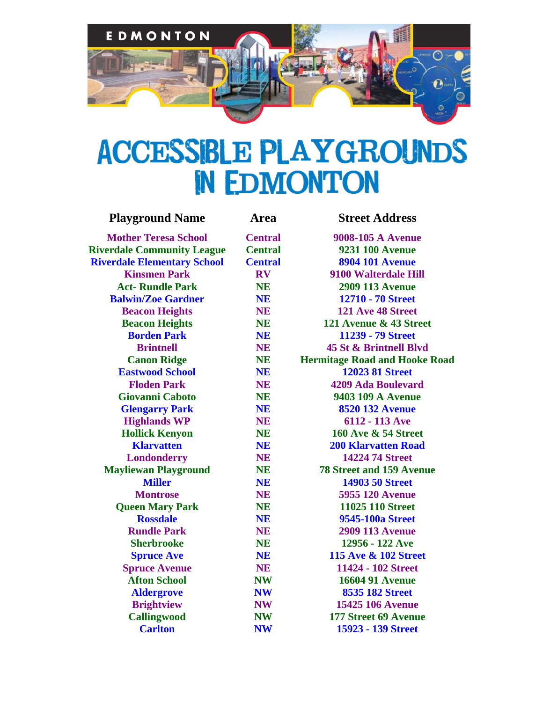

## **ACCESSIBLE PLAYGROUNDS** IN EDMONTON

| <b>Playground Name</b>             | Area                   | <b>Street Address</b>                |
|------------------------------------|------------------------|--------------------------------------|
| <b>Mother Teresa School</b>        | <b>Central</b>         | 9008-105 A Avenue                    |
| <b>Riverdale Community League</b>  | <b>Central</b>         | <b>9231 100 Avenue</b>               |
| <b>Riverdale Elementary School</b> | <b>Central</b>         | <b>8904 101 Avenue</b>               |
| <b>Kinsmen Park</b>                | $\mathbf{R}\mathbf{V}$ | 9100 Walterdale Hill                 |
| <b>Act-Rundle Park</b>             | <b>NE</b>              | <b>2909 113 Avenue</b>               |
| <b>Balwin/Zoe Gardner</b>          | <b>NE</b>              | 12710 - 70 Street                    |
| <b>Beacon Heights</b>              | <b>NE</b>              | 121 Ave 48 Street                    |
| <b>Beacon Heights</b>              | <b>NE</b>              | 121 Avenue & 43 Street               |
| <b>Borden Park</b>                 | <b>NE</b>              | 11239 - 79 Street                    |
| <b>Brintnell</b>                   | <b>NE</b>              | 45 St & Brintnell Blvd               |
| <b>Canon Ridge</b>                 | <b>NE</b>              | <b>Hermitage Road and Hooke Road</b> |
| <b>Eastwood School</b>             | <b>NE</b>              | <b>12023 81 Street</b>               |
| <b>Floden Park</b>                 | <b>NE</b>              | <b>4209 Ada Boulevard</b>            |
| <b>Giovanni Caboto</b>             | <b>NE</b>              | 9403 109 A Avenue                    |
| <b>Glengarry Park</b>              | <b>NE</b>              | <b>8520 132 Avenue</b>               |
| <b>Highlands WP</b>                | <b>NE</b>              | 6112 - 113 Ave                       |
| <b>Hollick Kenyon</b>              | <b>NE</b>              | <b>160 Ave &amp; 54 Street</b>       |
| <b>Klarvatten</b>                  | <b>NE</b>              | <b>200 Klarvatten Road</b>           |
| <b>Londonderry</b>                 | <b>NE</b>              | <b>14224 74 Street</b>               |
| <b>Mayliewan Playground</b>        | <b>NE</b>              | <b>78 Street and 159 Avenue</b>      |
| <b>Miller</b>                      | <b>NE</b>              | <b>14903 50 Street</b>               |
| <b>Montrose</b>                    | <b>NE</b>              | <b>5955 120 Avenue</b>               |
| <b>Queen Mary Park</b>             | <b>NE</b>              | 11025 110 Street                     |
| <b>Rossdale</b>                    | <b>NE</b>              | 9545-100a Street                     |
| <b>Rundle Park</b>                 | <b>NE</b>              | <b>2909 113 Avenue</b>               |
| <b>Sherbrooke</b>                  | <b>NE</b>              | 12956 - 122 Ave                      |
| <b>Spruce Ave</b>                  | <b>NE</b>              | <b>115 Ave &amp; 102 Street</b>      |
| <b>Spruce Avenue</b>               | <b>NE</b>              | 11424 - 102 Street                   |
| <b>Afton School</b>                | <b>NW</b>              | <b>16604 91 Avenue</b>               |
| <b>Aldergrove</b>                  | <b>NW</b>              | <b>8535 182 Street</b>               |
| <b>Brightview</b>                  | <b>NW</b>              | <b>15425 106 Avenue</b>              |
| <b>Callingwood</b>                 | <b>NW</b>              | 177 Street 69 Avenue                 |
| <b>Carlton</b>                     | <b>NW</b>              | 15923 - 139 Street                   |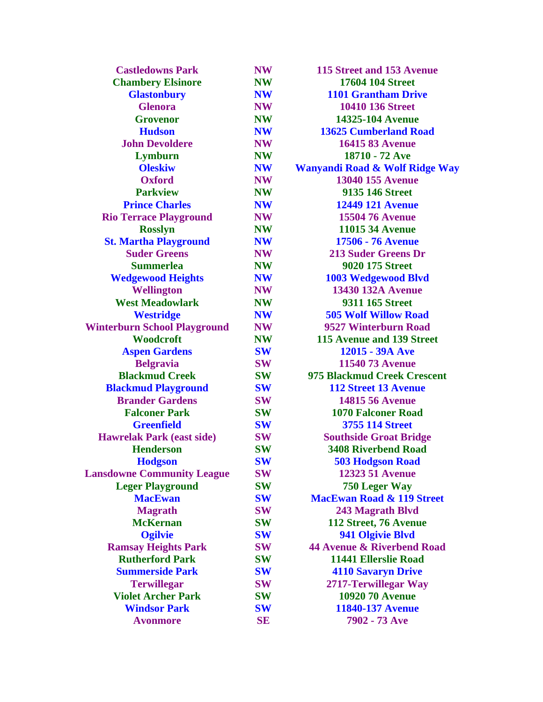| <b>Castledowns Park</b>             | NW        | 115 Street and 153 Avenue               |
|-------------------------------------|-----------|-----------------------------------------|
| <b>Chambery Elsinore</b>            | <b>NW</b> | <b>17604 104 Street</b>                 |
| <b>Glastonbury</b>                  | <b>NW</b> | <b>1101 Grantham Drive</b>              |
| <b>Glenora</b>                      | <b>NW</b> | <b>10410 136 Street</b>                 |
| <b>Grovenor</b>                     | <b>NW</b> | 14325-104 Avenue                        |
| <b>Hudson</b>                       | <b>NW</b> | <b>13625 Cumberland Road</b>            |
| <b>John Devoldere</b>               | <b>NW</b> | <b>16415 83 Avenue</b>                  |
| Lymburn                             | <b>NW</b> | 18710 - 72 Ave                          |
| <b>Oleskiw</b>                      | <b>NW</b> | <b>Wanyandi Road &amp; Wolf Ridge W</b> |
| <b>Oxford</b>                       | <b>NW</b> | <b>13040 155 Avenue</b>                 |
| <b>Parkview</b>                     | <b>NW</b> | 9135 146 Street                         |
| <b>Prince Charles</b>               | <b>NW</b> | <b>12449 121 Avenue</b>                 |
| <b>Rio Terrace Playground</b>       | <b>NW</b> | <b>15504 76 Avenue</b>                  |
| <b>Rosslyn</b>                      | <b>NW</b> | <b>11015 34 Avenue</b>                  |
| <b>St. Martha Playground</b>        | <b>NW</b> | <b>17506 - 76 Avenue</b>                |
| <b>Suder Greens</b>                 | <b>NW</b> | <b>213 Suder Greens Dr</b>              |
| <b>Summerlea</b>                    | <b>NW</b> | <b>9020 175 Street</b>                  |
| <b>Wedgewood Heights</b>            | <b>NW</b> | <b>1003 Wedgewood Blvd</b>              |
| <b>Wellington</b>                   | <b>NW</b> | <b>13430 132A Avenue</b>                |
| <b>West Meadowlark</b>              | <b>NW</b> | 9311 165 Street                         |
| <b>Westridge</b>                    | <b>NW</b> | <b>505 Wolf Willow Road</b>             |
| <b>Winterburn School Playground</b> | <b>NW</b> | 9527 Winterburn Road                    |
| Woodcroft                           | <b>NW</b> | 115 Avenue and 139 Street               |
| <b>Aspen Gardens</b>                | <b>SW</b> | 12015 - 39A Ave                         |
| <b>Belgravia</b>                    | <b>SW</b> | <b>11540 73 Avenue</b>                  |
| <b>Blackmud Creek</b>               | <b>SW</b> | 975 Blackmud Creek Crescent             |
| <b>Blackmud Playground</b>          | <b>SW</b> | <b>112 Street 13 Avenue</b>             |
| <b>Brander Gardens</b>              | <b>SW</b> | <b>14815 56 Avenue</b>                  |
| <b>Falconer Park</b>                | <b>SW</b> | <b>1070 Falconer Road</b>               |
| <b>Greenfield</b>                   | <b>SW</b> | <b>3755 114 Street</b>                  |
| <b>Hawrelak Park (east side)</b>    | <b>SW</b> | <b>Southside Groat Bridge</b>           |
| <b>Henderson</b>                    | <b>SW</b> | <b>3408 Riverbend Road</b>              |
| <b>Hodgson</b>                      | <b>SW</b> | <b>503 Hodgson Road</b>                 |
| <b>Lansdowne Community League</b>   | <b>SW</b> | <b>12323 51 Avenue</b>                  |
| <b>Leger Playground</b>             | <b>SW</b> | 750 Leger Way                           |
| <b>MacEwan</b>                      | <b>SW</b> | <b>MacEwan Road &amp; 119 Street</b>    |
| <b>Magrath</b>                      | <b>SW</b> | 243 Magrath Blvd                        |
| <b>McKernan</b>                     | <b>SW</b> | 112 Street, 76 Avenue                   |
| <b>Ogilvie</b>                      | <b>SW</b> | 941 Olgivie Blvd                        |
| <b>Ramsay Heights Park</b>          | <b>SW</b> | <b>44 Avenue &amp; Riverbend Road</b>   |
| <b>Rutherford Park</b>              | <b>SW</b> | <b>11441 Ellerslie Road</b>             |
| <b>Summerside Park</b>              | <b>SW</b> | <b>4110 Savaryn Drive</b>               |
| <b>Terwillegar</b>                  | <b>SW</b> | 2717-Terwillegar Way                    |
| <b>Violet Archer Park</b>           | <b>SW</b> | <b>10920 70 Avenue</b>                  |
| <b>Windsor Park</b>                 | <b>SW</b> | 11840-137 Avenue                        |
| <b>Avonmore</b>                     | SE        | 7902 - 73 Ave                           |
|                                     |           |                                         |

| <b>Castledowns Park</b>       | <b>NW</b> | 115 Street and 153 Avenue                 |
|-------------------------------|-----------|-------------------------------------------|
| <b>Chambery Elsinore</b>      | <b>NW</b> | <b>17604 104 Street</b>                   |
| <b>Glastonbury</b>            | <b>NW</b> | <b>1101 Grantham Drive</b>                |
| <b>Glenora</b>                | <b>NW</b> | <b>10410 136 Street</b>                   |
| <b>Grovenor</b>               | <b>NW</b> | 14325-104 Avenue                          |
| <b>Hudson</b>                 | <b>NW</b> | <b>13625 Cumberland Road</b>              |
| <b>John Devoldere</b>         | <b>NW</b> | <b>16415 83 Avenue</b>                    |
| Lymburn                       | <b>NW</b> | 18710 - 72 Ave                            |
| <b>Oleskiw</b>                | <b>NW</b> | <b>Wanyandi Road &amp; Wolf Ridge Way</b> |
| <b>Oxford</b>                 | <b>NW</b> | <b>13040 155 Avenue</b>                   |
| <b>Parkview</b>               | <b>NW</b> | <b>9135 146 Street</b>                    |
| <b>Prince Charles</b>         | <b>NW</b> | <b>12449 121 Avenue</b>                   |
| <b>Terrace Playground</b>     | <b>NW</b> | <b>15504 76 Avenue</b>                    |
| <b>Rosslyn</b>                | <b>NW</b> | <b>11015 34 Avenue</b>                    |
| <b>Martha Playground</b>      | <b>NW</b> | <b>17506 - 76 Avenue</b>                  |
| <b>Suder Greens</b>           | <b>NW</b> | <b>213 Suder Greens Dr</b>                |
| <b>Summerlea</b>              | <b>NW</b> | <b>9020 175 Street</b>                    |
| <b>Vedgewood Heights</b>      | <b>NW</b> | 1003 Wedgewood Blvd                       |
| <b>Wellington</b>             | <b>NW</b> | <b>13430 132A Avenue</b>                  |
| <b>West Meadowlark</b>        | <b>NW</b> | 9311 165 Street                           |
| <b>Westridge</b>              | <b>NW</b> | <b>505 Wolf Willow Road</b>               |
| <b>burn School Playground</b> | <b>NW</b> | 9527 Winterburn Road                      |
| Woodcroft                     | <b>NW</b> | 115 Avenue and 139 Street                 |
| <b>Aspen Gardens</b>          | <b>SW</b> | 12015 - 39A Ave                           |
| <b>Belgravia</b>              | <b>SW</b> | <b>11540 73 Avenue</b>                    |
| <b>Blackmud Creek</b>         | <b>SW</b> | 975 Blackmud Creek Crescent               |
| ackmud Playground             | <b>SW</b> | <b>112 Street 13 Avenue</b>               |
| <b>Brander Gardens</b>        | <b>SW</b> | <b>14815 56 Avenue</b>                    |
| <b>Falconer Park</b>          | <b>SW</b> | <b>1070 Falconer Road</b>                 |
| <b>Greenfield</b>             | <b>SW</b> | <b>3755 114 Street</b>                    |
| vrelak Park (east side)       | <b>SW</b> | <b>Southside Groat Bridge</b>             |
| <b>Henderson</b>              | <b>SW</b> | <b>3408 Riverbend Road</b>                |
| <b>Hodgson</b>                | <b>SW</b> | <b>503 Hodgson Road</b>                   |
| <b>OWNE Community League</b>  | <b>SW</b> | <b>12323 51 Avenue</b>                    |
| <b>Leger Playground</b>       | <b>SW</b> | 750 Leger Way                             |
| <b>MacEwan</b>                | <b>SW</b> | <b>MacEwan Road &amp; 119 Street</b>      |
| <b>Magrath</b>                | <b>SW</b> | 243 Magrath Blvd                          |
| <b>McKernan</b>               | <b>SW</b> | 112 Street, 76 Avenue                     |
| <b>Ogilvie</b>                | <b>SW</b> | 941 Olgivie Blvd                          |
| amsay Heights Park            | <b>SW</b> | <b>44 Avenue &amp; Riverbend Road</b>     |
| <b>Rutherford Park</b>        | <b>SW</b> | <b>11441 Ellerslie Road</b>               |
| <b>Summerside Park</b>        | <b>SW</b> | <b>4110 Savaryn Drive</b>                 |
| <b>Terwillegar</b>            | <b>SW</b> | 2717-Terwillegar Way                      |
| <b>Violet Archer Park</b>     | <b>SW</b> | <b>10920 70 Avenue</b>                    |
| <b>Windsor Park</b>           | <b>SW</b> | <b>11840-137 Avenue</b>                   |
| <b>Avonmore</b>               | <b>SE</b> | 7902 - 73 Ave                             |
|                               |           |                                           |